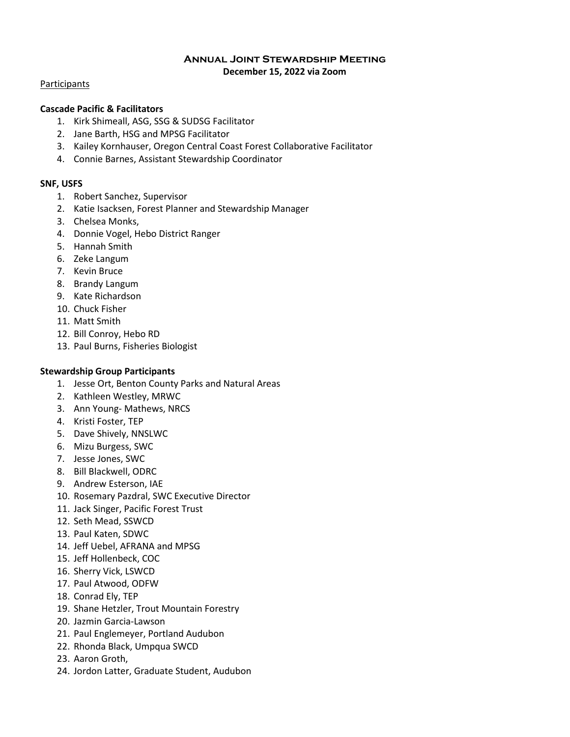### **Annual Joint Stewardship Meeting December 15, 2022 via Zoom**

#### **Participants**

## **Cascade Pacific & Facilitators**

- 1. Kirk Shimeall, ASG, SSG & SUDSG Facilitator
- 2. Jane Barth, HSG and MPSG Facilitator
- 3. Kailey Kornhauser, Oregon Central Coast Forest Collaborative Facilitator
- 4. Connie Barnes, Assistant Stewardship Coordinator

### **SNF, USFS**

- 1. Robert Sanchez, Supervisor
- 2. Katie Isacksen, Forest Planner and Stewardship Manager
- 3. Chelsea Monks,
- 4. Donnie Vogel, Hebo District Ranger
- 5. Hannah Smith
- 6. Zeke Langum
- 7. Kevin Bruce
- 8. Brandy Langum
- 9. Kate Richardson
- 10. Chuck Fisher
- 11. Matt Smith
- 12. Bill Conroy, Hebo RD
- 13. Paul Burns, Fisheries Biologist

## **Stewardship Group Participants**

- 1. Jesse Ort, Benton County Parks and Natural Areas
- 2. Kathleen Westley, MRWC
- 3. Ann Young- Mathews, NRCS
- 4. Kristi Foster, TEP
- 5. Dave Shively, NNSLWC
- 6. Mizu Burgess, SWC
- 7. Jesse Jones, SWC
- 8. Bill Blackwell, ODRC
- 9. Andrew Esterson, IAE
- 10. Rosemary Pazdral, SWC Executive Director
- 11. Jack Singer, Pacific Forest Trust
- 12. Seth Mead, SSWCD
- 13. Paul Katen, SDWC
- 14. Jeff Uebel, AFRANA and MPSG
- 15. Jeff Hollenbeck, COC
- 16. Sherry Vick, LSWCD
- 17. Paul Atwood, ODFW
- 18. Conrad Ely, TEP
- 19. Shane Hetzler, Trout Mountain Forestry
- 20. Jazmin Garcia-Lawson
- 21. Paul Englemeyer, Portland Audubon
- 22. Rhonda Black, Umpqua SWCD
- 23. Aaron Groth,
- 24. Jordon Latter, Graduate Student, Audubon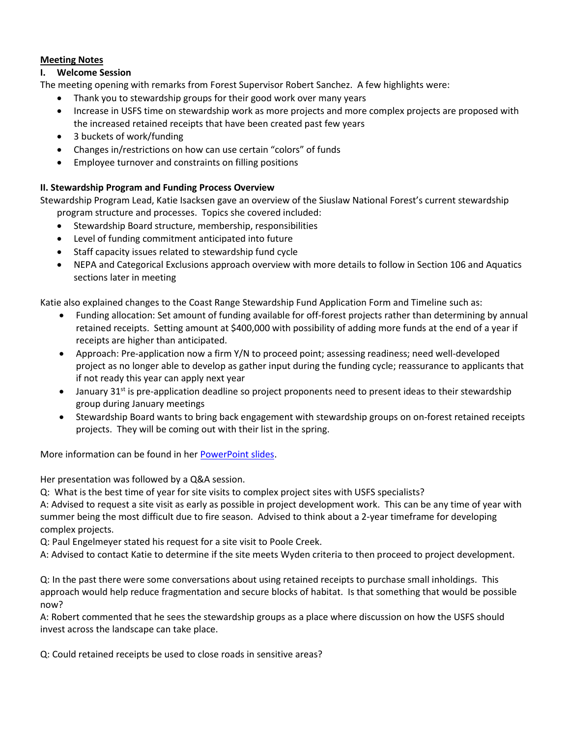# **Meeting Notes**

# **I. Welcome Session**

The meeting opening with remarks from Forest Supervisor Robert Sanchez. A few highlights were:

- Thank you to stewardship groups for their good work over many years
- Increase in USFS time on stewardship work as more projects and more complex projects are proposed with the increased retained receipts that have been created past few years
- 3 buckets of work/funding
- Changes in/restrictions on how can use certain "colors" of funds
- Employee turnover and constraints on filling positions

# **II. Stewardship Program and Funding Process Overview**

Stewardship Program Lead, Katie Isacksen gave an overview of the Siuslaw National Forest's current stewardship program structure and processes. Topics she covered included:

- Stewardship Board structure, membership, responsibilities
- Level of funding commitment anticipated into future
- Staff capacity issues related to stewardship fund cycle
- NEPA and Categorical Exclusions approach overview with more details to follow in Section 106 and Aquatics sections later in meeting

Katie also explained changes to the Coast Range Stewardship Fund Application Form and Timeline such as:

- Funding allocation: Set amount of funding available for off-forest projects rather than determining by annual retained receipts. Setting amount at \$400,000 with possibility of adding more funds at the end of a year if receipts are higher than anticipated.
- Approach: Pre-application now a firm Y/N to proceed point; assessing readiness; need well-developed project as no longer able to develop as gather input during the funding cycle; reassurance to applicants that if not ready this year can apply next year
- January 31<sup>st</sup> is pre-application deadline so project proponents need to present ideas to their stewardship group during January meetings
- Stewardship Board wants to bring back engagement with stewardship groups on on-forest retained receipts projects. They will be coming out with their list in the spring.

More information can be found in her [PowerPoint slides.](http://www.cascadepacificstewardship.org/home/cps/smartlist_41/smartlist_41/meetings-publications.html/smartlist_41/smartlist_41/meetings-publications.html)

Her presentation was followed by a Q&A session.

Q: What is the best time of year for site visits to complex project sites with USFS specialists?

A: Advised to request a site visit as early as possible in project development work. This can be any time of year with summer being the most difficult due to fire season. Advised to think about a 2-year timeframe for developing complex projects.

Q: Paul Engelmeyer stated his request for a site visit to Poole Creek.

A: Advised to contact Katie to determine if the site meets Wyden criteria to then proceed to project development.

Q: In the past there were some conversations about using retained receipts to purchase small inholdings. This approach would help reduce fragmentation and secure blocks of habitat. Is that something that would be possible now?

A: Robert commented that he sees the stewardship groups as a place where discussion on how the USFS should invest across the landscape can take place.

Q: Could retained receipts be used to close roads in sensitive areas?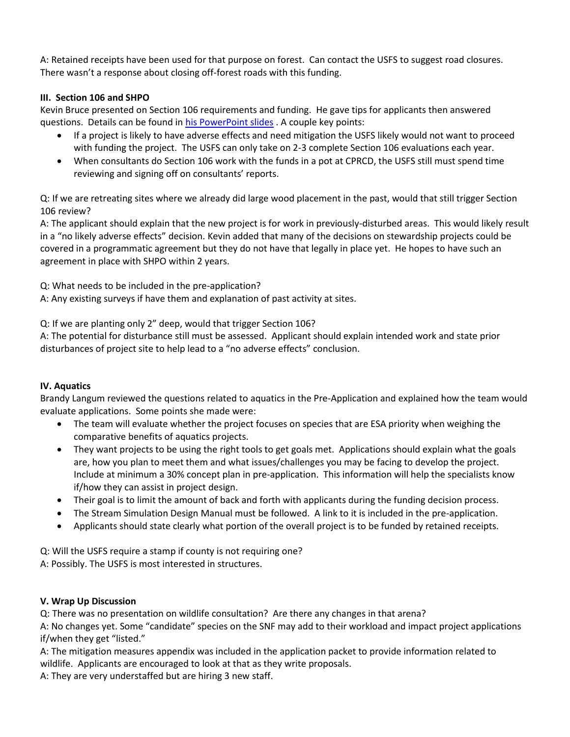A: Retained receipts have been used for that purpose on forest. Can contact the USFS to suggest road closures. There wasn't a response about closing off-forest roads with this funding.

# **III. Section 106 and SHPO**

Kevin Bruce presented on Section 106 requirements and funding. He gave tips for applicants then answered questions. Details can be found in [his PowerPoint slides](http://www.cascadepacificstewardship.org/home/cps/smartlist_41/smartlist_41/meetings-publications.html/smartlist_41/smartlist_41/meetings-publications.html) . A couple key points:

- If a project is likely to have adverse effects and need mitigation the USFS likely would not want to proceed with funding the project. The USFS can only take on 2-3 complete Section 106 evaluations each year.
- When consultants do Section 106 work with the funds in a pot at CPRCD, the USFS still must spend time reviewing and signing off on consultants' reports.

Q: If we are retreating sites where we already did large wood placement in the past, would that still trigger Section 106 review?

A: The applicant should explain that the new project is for work in previously-disturbed areas. This would likely result in a "no likely adverse effects" decision. Kevin added that many of the decisions on stewardship projects could be covered in a programmatic agreement but they do not have that legally in place yet. He hopes to have such an agreement in place with SHPO within 2 years.

Q: What needs to be included in the pre-application?

A: Any existing surveys if have them and explanation of past activity at sites.

Q: If we are planting only 2" deep, would that trigger Section 106?

A: The potential for disturbance still must be assessed. Applicant should explain intended work and state prior disturbances of project site to help lead to a "no adverse effects" conclusion.

# **IV. Aquatics**

Brandy Langum reviewed the questions related to aquatics in the Pre-Application and explained how the team would evaluate applications. Some points she made were:

- The team will evaluate whether the project focuses on species that are ESA priority when weighing the comparative benefits of aquatics projects.
- They want projects to be using the right tools to get goals met. Applications should explain what the goals are, how you plan to meet them and what issues/challenges you may be facing to develop the project. Include at minimum a 30% concept plan in pre-application. This information will help the specialists know if/how they can assist in project design.
- Their goal is to limit the amount of back and forth with applicants during the funding decision process.
- The Stream Simulation Design Manual must be followed. A link to it is included in the pre-application.
- Applicants should state clearly what portion of the overall project is to be funded by retained receipts.

Q: Will the USFS require a stamp if county is not requiring one? A: Possibly. The USFS is most interested in structures.

# **V. Wrap Up Discussion**

Q: There was no presentation on wildlife consultation? Are there any changes in that arena?

A: No changes yet. Some "candidate" species on the SNF may add to their workload and impact project applications if/when they get "listed."

A: The mitigation measures appendix was included in the application packet to provide information related to wildlife. Applicants are encouraged to look at that as they write proposals.

A: They are very understaffed but are hiring 3 new staff.